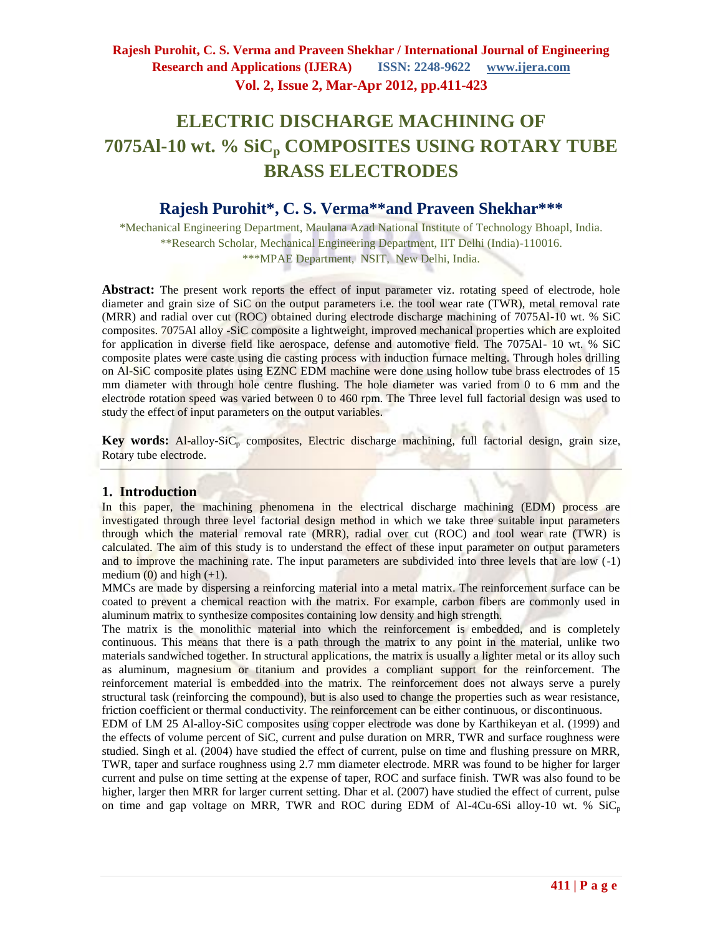# **ELECTRIC DISCHARGE MACHINING OF 7075Al-10 wt. % SiC<sup>p</sup> COMPOSITES USING ROTARY TUBE BRASS ELECTRODES**

# **Rajesh Purohit\*, C. S. Verma\*\*and Praveen Shekhar\*\*\***

\*Mechanical Engineering Department, Maulana Azad National Institute of Technology Bhoapl, India. \*\*Research Scholar, Mechanical Engineering Department, IIT Delhi (India)-110016. \*\*\*MPAE Department, NSIT, New Delhi, India.

Abstract: The present work reports the effect of input parameter viz. rotating speed of electrode, hole diameter and grain size of SiC on the output parameters i.e. the tool wear rate (TWR), metal removal rate (MRR) and radial over cut (ROC) obtained during electrode discharge machining of 7075Al-10 wt. % SiC composites. 7075Al alloy -SiC composite a lightweight, improved mechanical properties which are exploited for application in diverse field like aerospace, defense and automotive field. The 7075Al- 10 wt. % SiC composite plates were caste using die casting process with induction furnace melting. Through holes drilling on Al-SiC composite plates using EZNC EDM machine were done using hollow tube brass electrodes of 15 mm diameter with through hole centre flushing. The hole diameter was varied from 0 to 6 mm and the electrode rotation speed was varied between 0 to 460 rpm. The Three level full factorial design was used to study the effect of input parameters on the output variables.

Key words: Al-alloy-SiC<sub>p</sub> composites, Electric discharge machining, full factorial design, grain size, Rotary tube electrode.

### **1. Introduction**

In this paper, the machining phenomena in the electrical discharge machining (EDM) process are investigated through three level factorial design method in which we take three suitable input parameters through which the material removal rate (MRR), radial over cut (ROC) and tool wear rate (TWR) is calculated. The aim of this study is to understand the effect of these input parameter on output parameters and to improve the machining rate. The input parameters are subdivided into three levels that are low (-1) medium  $(0)$  and high  $(+1)$ .

MMCs are made by dispersing a reinforcing material into a metal matrix. The reinforcement surface can be coated to prevent a chemical reaction with the matrix. For example, carbon fibers are commonly used in aluminum matrix to synthesize composites containing low density and high strength.

The matrix is the monolithic material into which the reinforcement is embedded, and is completely continuous. This means that there is a path through the matrix to any point in the material, unlike two materials sandwiched together. In structural applications, the matrix is usually a lighter metal or its alloy such as aluminum, magnesium or titanium and provides a compliant support for the reinforcement. The reinforcement material is embedded into the matrix. The reinforcement does not always serve a purely structural task (reinforcing the compound), but is also used to change the properties such as wear resistance, friction coefficient or thermal conductivity. The reinforcement can be either continuous, or discontinuous.

EDM of LM 25 Al-alloy-SiC composites using copper electrode was done by Karthikeyan et al. (1999) and the effects of volume percent of SiC, current and pulse duration on MRR, TWR and surface roughness were studied. Singh et al. (2004) have studied the effect of current, pulse on time and flushing pressure on MRR, TWR, taper and surface roughness using 2.7 mm diameter electrode. MRR was found to be higher for larger current and pulse on time setting at the expense of taper, ROC and surface finish. TWR was also found to be higher, larger then MRR for larger current setting. Dhar et al. (2007) have studied the effect of current, pulse on time and gap voltage on MRR, TWR and ROC during EDM of Al-4Cu-6Si alloy-10 wt. %  $\overline{SiC_p}$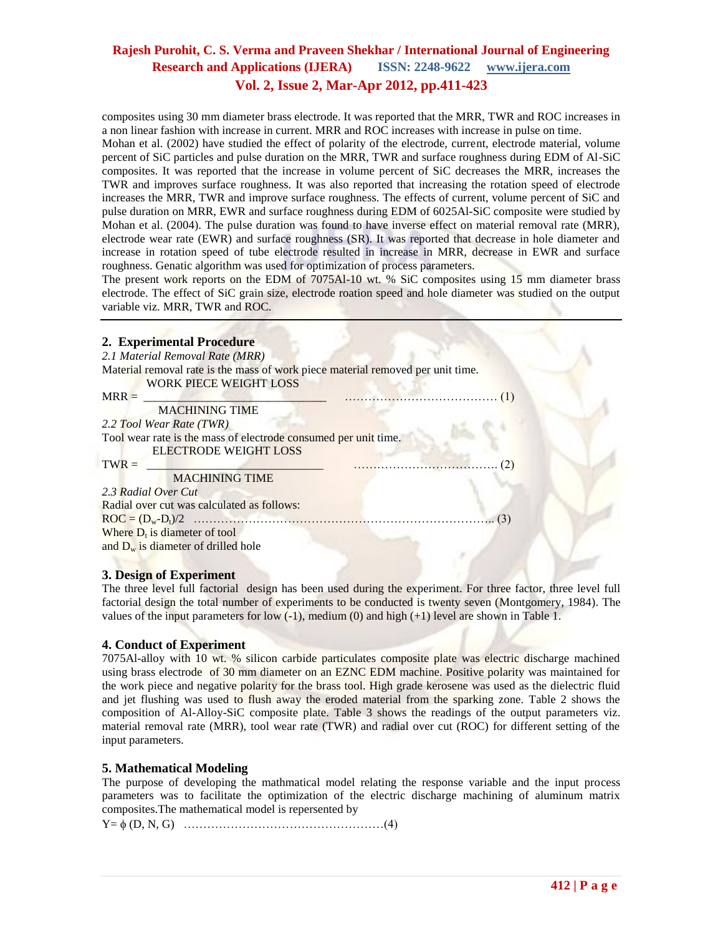composites using 30 mm diameter brass electrode. It was reported that the MRR, TWR and ROC increases in a non linear fashion with increase in current. MRR and ROC increases with increase in pulse on time.

Mohan et al. (2002) have studied the effect of polarity of the electrode, current, electrode material, volume percent of SiC particles and pulse duration on the MRR, TWR and surface roughness during EDM of Al-SiC composites. It was reported that the increase in volume percent of SiC decreases the MRR, increases the TWR and improves surface roughness. It was also reported that increasing the rotation speed of electrode increases the MRR, TWR and improve surface roughness. The effects of current, volume percent of SiC and pulse duration on MRR, EWR and surface roughness during EDM of 6025Al-SiC composite were studied by Mohan et al. (2004). The pulse duration was found to have inverse effect on material removal rate (MRR), electrode wear rate (EWR) and surface roughness (SR). It was reported that decrease in hole diameter and increase in rotation speed of tube electrode resulted in increase in MRR, decrease in EWR and surface roughness. Genatic algorithm was used for optimization of process parameters.

The present work reports on the EDM of 7075Al-10 wt. % SiC composites using 15 mm diameter brass electrode. The effect of SiC grain size, electrode roation speed and hole diameter was studied on the output variable viz. MRR, TWR and ROC.

| 2. Experimental Procedure                                                                                        |
|------------------------------------------------------------------------------------------------------------------|
| 2.1 Material Removal Rate (MRR)                                                                                  |
| Material removal rate is the mass of work piece material removed per unit time.<br><b>WORK PIECE WEIGHT LOSS</b> |
| $MRR =$                                                                                                          |
| <b>MACHINING TIME</b>                                                                                            |
| 2.2 Tool Wear Rate (TWR)                                                                                         |
| Tool wear rate is the mass of electrode consumed per unit time.                                                  |
| <b>ELECTRODE WEIGHT LOSS</b>                                                                                     |
| $TWR =$                                                                                                          |
| <b>MACHINING TIME</b>                                                                                            |
| 2.3 Radial Over Cut                                                                                              |
| Radial over cut was calculated as follows:                                                                       |
|                                                                                                                  |
| Where $D_t$ is diameter of tool                                                                                  |
| and $D_w$ is diameter of drilled hole                                                                            |
|                                                                                                                  |

#### **3. Design of Experiment**

The three level full factorial design has been used during the experiment. For three factor, three level full factorial design the total number of experiments to be conducted is twenty seven (Montgomery, 1984). The values of the input parameters for low (-1), medium (0) and high (+1) level are shown in Table 1.

### **4. Conduct of Experiment**

7075Al-alloy with 10 wt. % silicon carbide particulates composite plate was electric discharge machined using brass electrode of 30 mm diameter on an EZNC EDM machine. Positive polarity was maintained for the work piece and negative polarity for the brass tool. High grade kerosene was used as the dielectric fluid and jet flushing was used to flush away the eroded material from the sparking zone. Table 2 shows the composition of Al-Alloy-SiC composite plate. Table 3 shows the readings of the output parameters viz. material removal rate (MRR), tool wear rate (TWR) and radial over cut (ROC) for different setting of the input parameters.

### **5. Mathematical Modeling**

The purpose of developing the mathmatical model relating the response variable and the input process parameters was to facilitate the optimization of the electric discharge machining of aluminum matrix composites.The mathematical model is repersented by

Y= (D, N, G) ……………………………………………(4)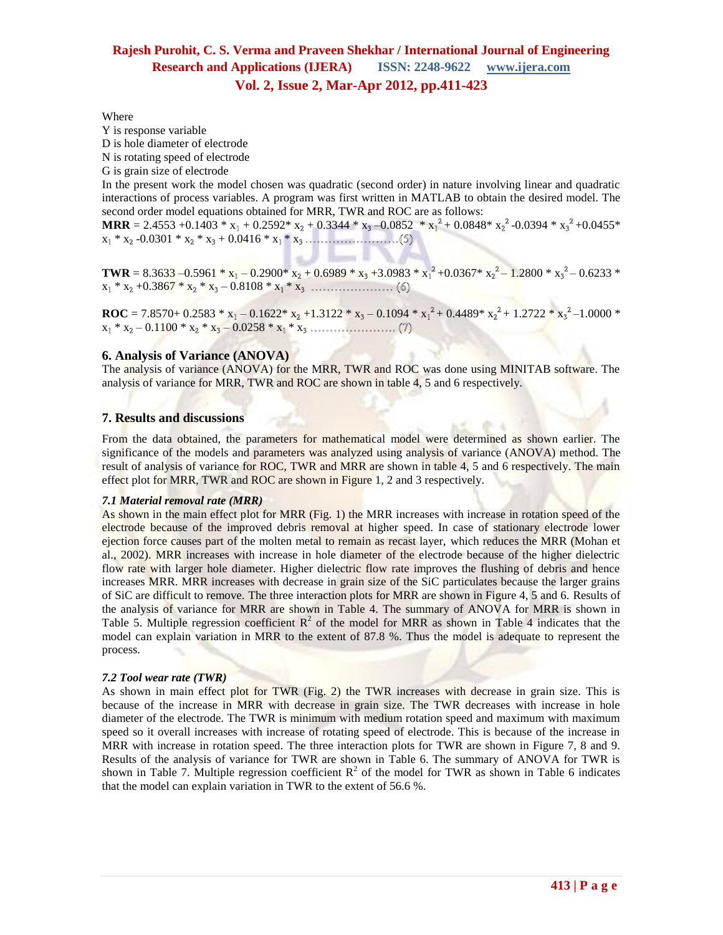Where

Y is response variable

D is hole diameter of electrode

N is rotating speed of electrode

G is grain size of electrode

In the present work the model chosen was quadratic (second order) in nature involving linear and quadratic interactions of process variables. A program was first written in MATLAB to obtain the desired model. The second order model equations obtained for MRR, TWR and ROC are as follows:

**MRR** = 2.4553 +0.1403 \*  $x_1$  + 0.2592\*  $x_2$  + 0.3344 \*  $x_3$  -0.0852 \*  $x_1^2$  + 0.0848\*  $x_2^2$  -0.0394 \*  $x_3^2$  +0.0455\* x \* x -0.0301 \* x \* x + 0.0416 \* x \* x

**TWR** = 8.3633 –0.5961 \*  $x_1$  – 0.2900\*  $x_2$  + 0.6989 \*  $x_3$  +3.0983 \*  $x_1^2$  +0.0367\*  $x_2^2$  – 1.2800 \*  $x_3^2$  – 0.6233 \*  $x_1 * x_2 + 0.3867 * x_2 * x_3 - 0.8108 * x_1 * x$ 

**ROC** = 7.8570+ 0.2583 \*  $x_1 - 0.1622$  \*  $x_2 + 1.3122$  \*  $x_3 - 0.1094$  \*  $x_1^2 + 0.4489$  \*  $x_2^2 + 1.2722$  \*  $x_3^2 - 1.0000$  \* x \* x – 0.1100 \* x \* x – 0.0258 \* x \* x

#### **6. Analysis of Variance (ANOVA)**

The analysis of variance (ANOVA) for the MRR, TWR and ROC was done using MINITAB software. The analysis of variance for MRR, TWR and ROC are shown in table 4, 5 and 6 respectively.

#### **7. Results and discussions**

From the data obtained, the parameters for mathematical model were determined as shown earlier. The significance of the models and parameters was analyzed using analysis of variance (ANOVA) method. The result of analysis of variance for ROC, TWR and MRR are shown in table 4, 5 and 6 respectively. The main effect plot for MRR, TWR and ROC are shown in Figure 1, 2 and 3 respectively.

#### *7.1 Material removal rate (MRR)*

As shown in the main effect plot for MRR (Fig. 1) the MRR increases with increase in rotation speed of the electrode because of the improved debris removal at higher speed. In case of stationary electrode lower ejection force causes part of the molten metal to remain as recast layer, which reduces the MRR (Mohan et al., 2002). MRR increases with increase in hole diameter of the electrode because of the higher dielectric flow rate with larger hole diameter. Higher dielectric flow rate improves the flushing of debris and hence increases MRR. MRR increases with decrease in grain size of the SiC particulates because the larger grains of SiC are difficult to remove. The three interaction plots for MRR are shown in Figure 4, 5 and 6. Results of the analysis of variance for MRR are shown in Table 4. The summary of ANOVA for MRR is shown in Table 5. Multiple regression coefficient  $R^2$  of the model for MRR as shown in Table 4 indicates that the model can explain variation in MRR to the extent of 87.8 %. Thus the model is adequate to represent the process.

#### *7.2 Tool wear rate (TWR)*

As shown in main effect plot for TWR (Fig. 2) the TWR increases with decrease in grain size. This is because of the increase in MRR with decrease in grain size. The TWR decreases with increase in hole diameter of the electrode. The TWR is minimum with medium rotation speed and maximum with maximum speed so it overall increases with increase of rotating speed of electrode. This is because of the increase in MRR with increase in rotation speed. The three interaction plots for TWR are shown in Figure 7, 8 and 9. Results of the analysis of variance for TWR are shown in Table 6. The summary of ANOVA for TWR is shown in Table 7. Multiple regression coefficient  $R^2$  of the model for TWR as shown in Table 6 indicates that the model can explain variation in TWR to the extent of 56.6 %.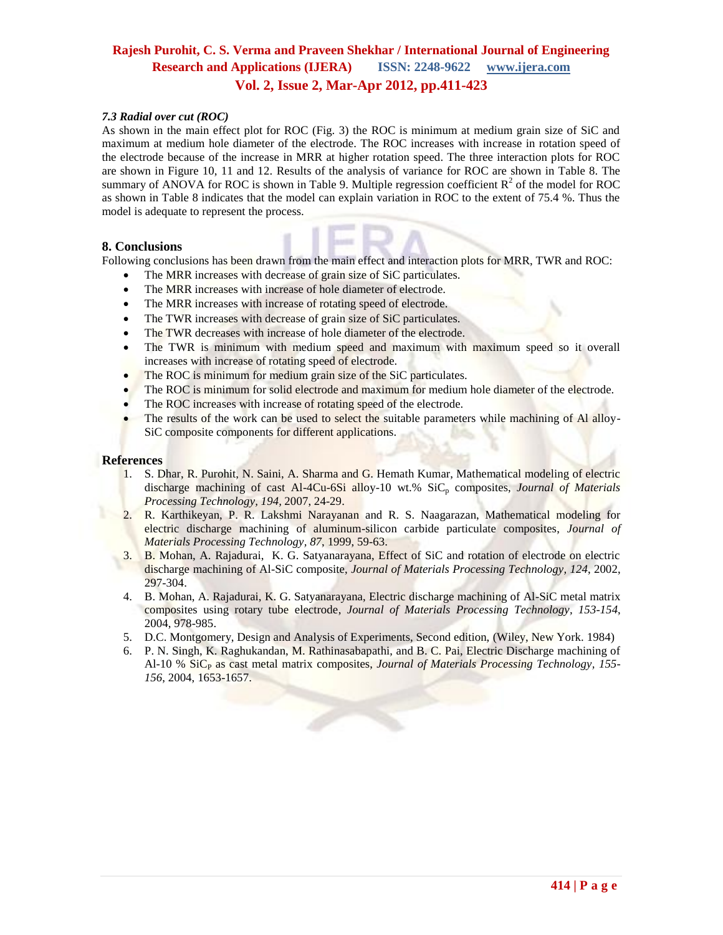#### *7.3 Radial over cut (ROC)*

As shown in the main effect plot for ROC (Fig. 3) the ROC is minimum at medium grain size of SiC and maximum at medium hole diameter of the electrode. The ROC increases with increase in rotation speed of the electrode because of the increase in MRR at higher rotation speed. The three interaction plots for ROC are shown in Figure 10, 11 and 12. Results of the analysis of variance for ROC are shown in Table 8. The summary of ANOVA for ROC is shown in Table 9. Multiple regression coefficient  $R^2$  of the model for ROC as shown in Table 8 indicates that the model can explain variation in ROC to the extent of 75.4 %. Thus the model is adequate to represent the process.

#### **8. Conclusions**

Following conclusions has been drawn from the main effect and interaction plots for MRR, TWR and ROC:

- The MRR increases with decrease of grain size of SiC particulates.
- The MRR increases with increase of hole diameter of electrode.
- The MRR increases with increase of rotating speed of electrode.
- The TWR increases with decrease of grain size of SiC particulates.
- The TWR decreases with increase of hole diameter of the electrode.
- The TWR is minimum with medium speed and maximum with maximum speed so it overall increases with increase of rotating speed of electrode.
- The ROC is minimum for medium grain size of the SiC particulates.
- The ROC is minimum for solid electrode and maximum for medium hole diameter of the electrode.
- The ROC increases with increase of rotating speed of the electrode.
- The results of the work can be used to select the suitable parameters while machining of Al alloy-SiC composite components for different applications.

#### **References**

- 1. S. Dhar, R. Purohit, N. Saini, A. Sharma and G. Hemath Kumar, Mathematical modeling of electric discharge machining of cast Al-4Cu-6Si alloy-10 wt.% SiC<sub>p</sub> composites, *Journal of Materials Processing Technology, 194,* 2007, 24-29.
- 2. R. Karthikeyan, P. R. Lakshmi Narayanan and R. S. Naagarazan, Mathematical modeling for electric discharge machining of aluminum-silicon carbide particulate composites, *Journal of Materials Processing Technology, 87*, 1999, 59-63.
- 3. B. Mohan, A. Rajadurai, K. G. Satyanarayana, Effect of SiC and rotation of electrode on electric discharge machining of Al-SiC composite, *Journal of Materials Processing Technology, 124*, 2002, 297-304.
- 4. B. Mohan, A. Rajadurai, K. G. Satyanarayana, Electric discharge machining of Al-SiC metal matrix composites using rotary tube electrode, *Journal of Materials Processing Technology, 153-154*, 2004, 978-985.
- 5. D.C. Montgomery, Design and Analysis of Experiments, Second edition, (Wiley, New York. 1984)
- 6. P. N. Singh, K. Raghukandan, M. Rathinasabapathi, and B. C. Pai, Electric Discharge machining of Al-10 % SiC<sub>P</sub> as cast metal matrix composites, *Journal of Materials Processing Technology*, 155-*156*, 2004, 1653-1657.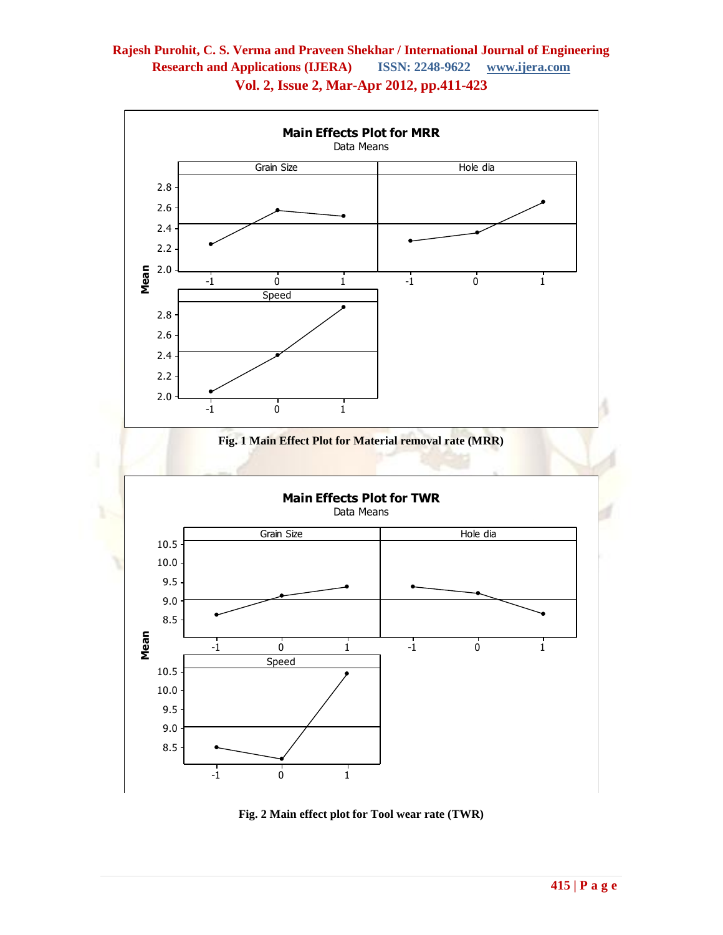

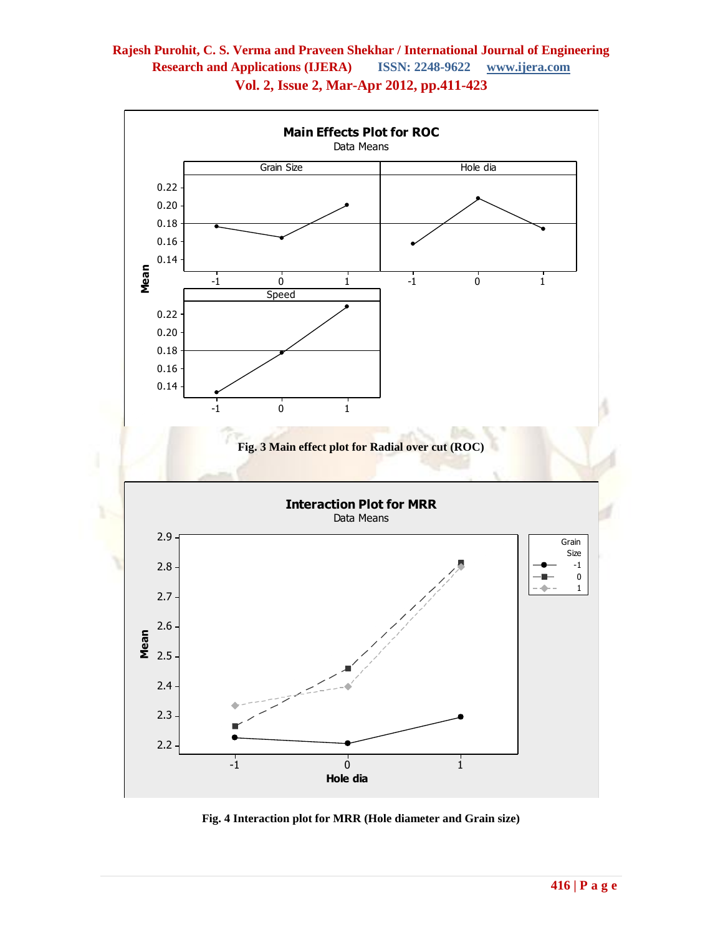

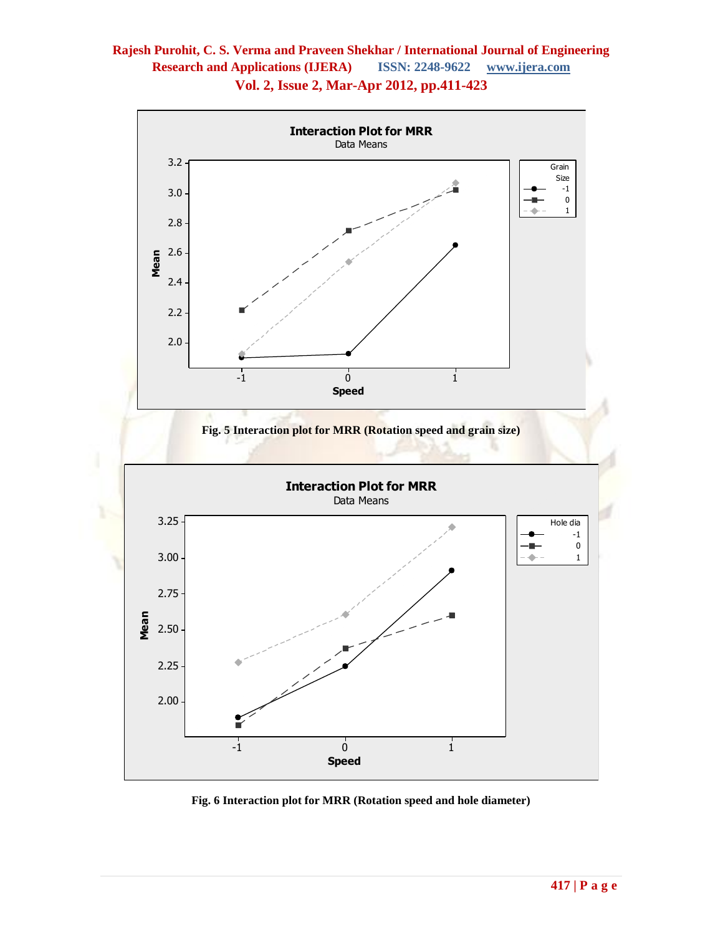

**Fig. 6 Interaction plot for MRR (Rotation speed and hole diameter)**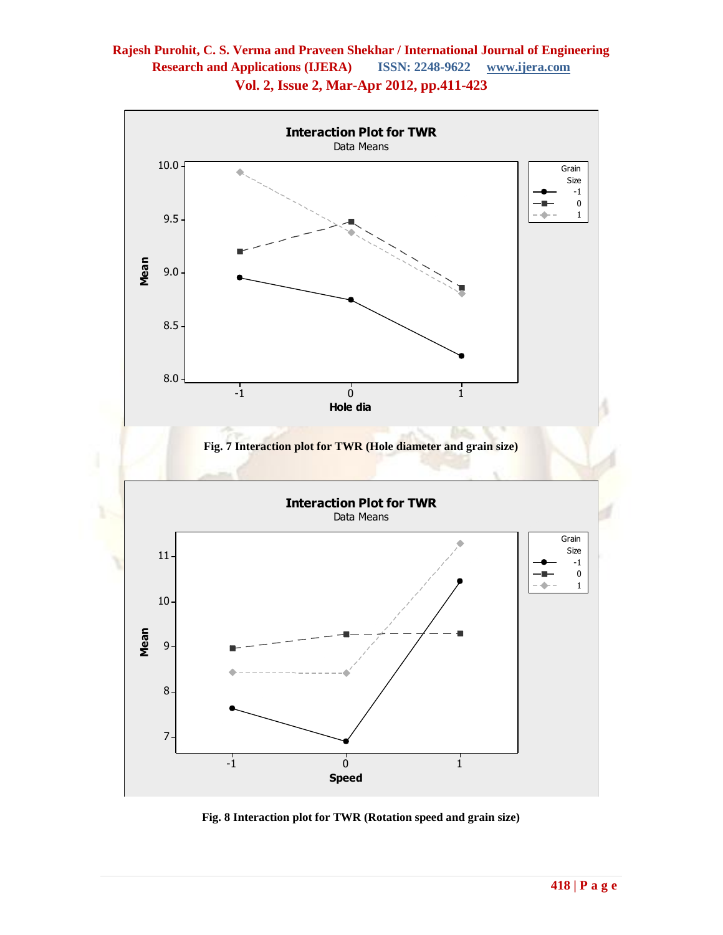

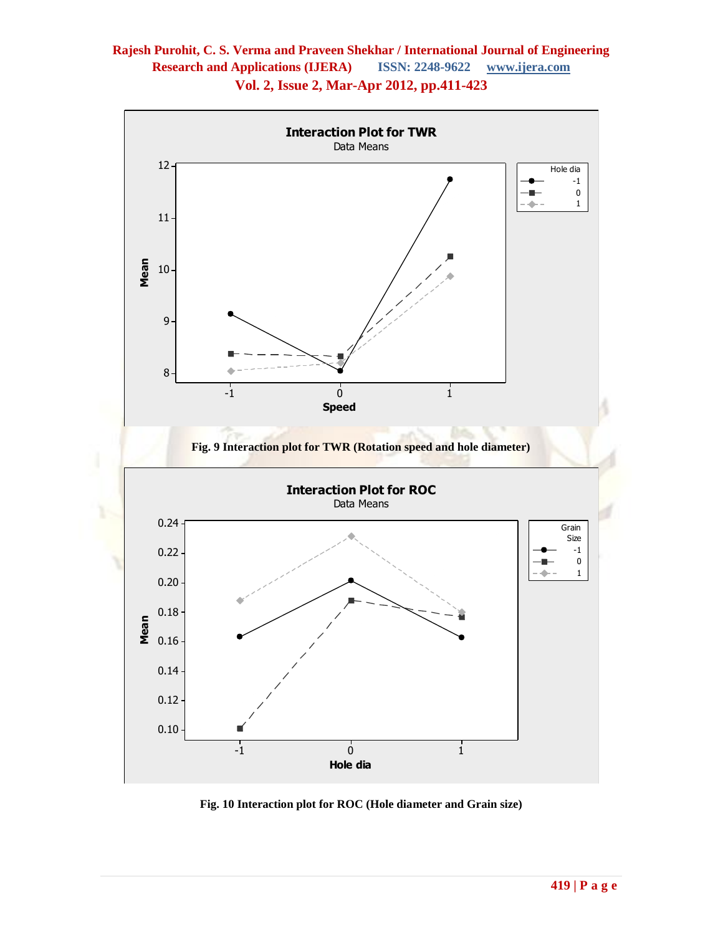

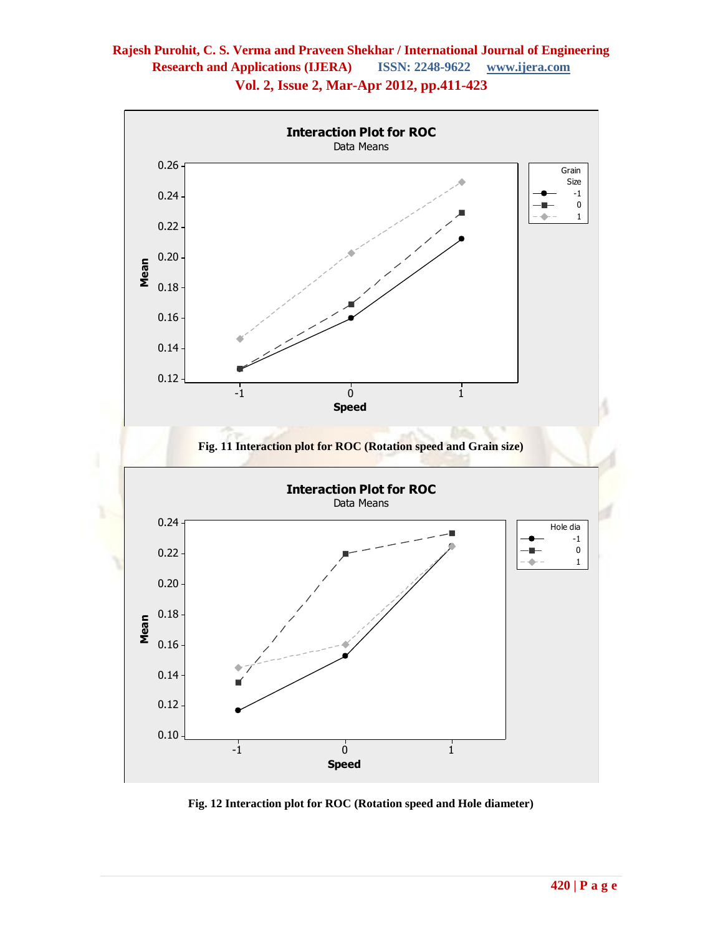

**Fig. 12 Interaction plot for ROC (Rotation speed and Hole diameter)**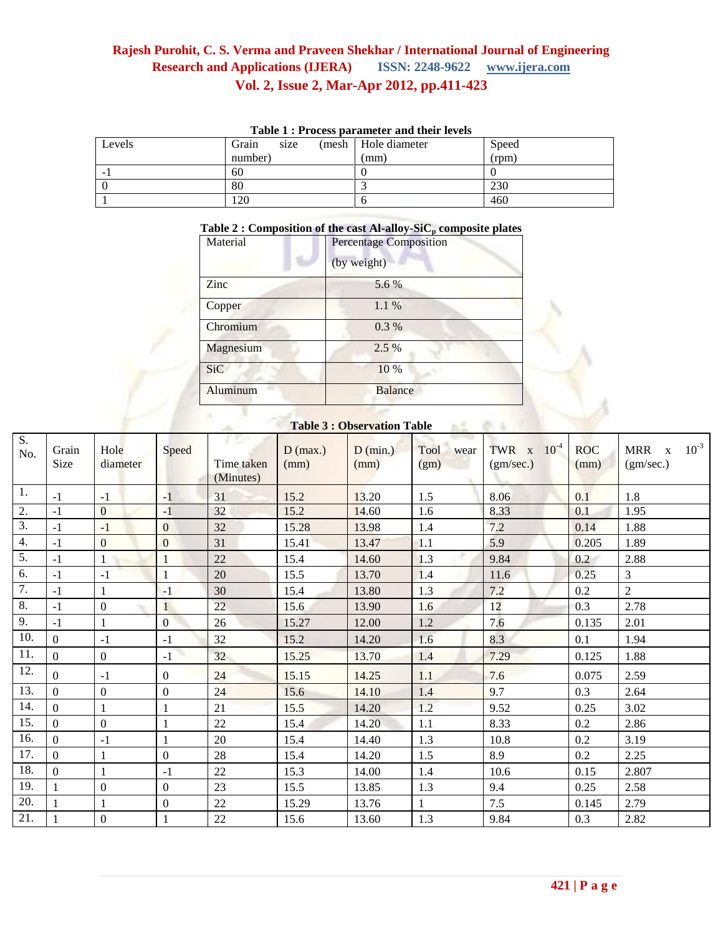| Tuble 1 : 1100000 purument und men levels |               |                        |       |  |  |  |  |
|-------------------------------------------|---------------|------------------------|-------|--|--|--|--|
| Levels                                    | Grain<br>size | (mesh   Hole diameter) | Speed |  |  |  |  |
|                                           | number)       | (mm)                   | (rpm) |  |  |  |  |
| -                                         | 60            |                        |       |  |  |  |  |
|                                           | 80            |                        | 230   |  |  |  |  |
|                                           | 20            |                        | 460   |  |  |  |  |

### **Table 1 : Process parameter and their levels**

#### **Table 2 : Composition of the cast Al-alloy-SiC<sup>p</sup> composite plates**

| <b>Percentage Composition</b> |
|-------------------------------|
| (by weight)                   |
| 5.6 %                         |
| 1.1%                          |
| 0.3 %                         |
| $2.5\%$                       |
| 10 %                          |
| <b>Balance</b>                |
|                               |

#### **Table 3 : Observation Table**

| S.<br>No. | Grain<br>Size  | Hole<br>diameter | Speed            | re<br>Time taken<br>(Minutes) | $D$ (max.)<br>(mm) | $D$ (min.)<br>(mm) | Tool<br>wear<br>(gm) | $10^{-4}$<br>TWR <sub>x</sub><br>(gm/sec.) | <b>ROC</b><br>(mm) | $10^{-3}$<br>MRR x<br>(gm/sec.) |
|-----------|----------------|------------------|------------------|-------------------------------|--------------------|--------------------|----------------------|--------------------------------------------|--------------------|---------------------------------|
| 1.        | $-1$           | $-1$             | $-1$             | 31                            | 15.2               | 13.20              | 1.5                  | 8.06                                       | 0.1                | 1.8                             |
| 2.        | $-1$           | $\bf{0}$         | $-1$             | 32                            | 15.2               | 14.60              | 1.6                  | 8.33                                       | 0.1                | 1.95                            |
| 3.        | $-1$           | $-1$             | $\mathbf{0}$     | 32                            | 15.28              | 13.98              | 1.4                  | 7.2                                        | 0.14               | 1.88                            |
| 4.        | $-1$           | $\overline{0}$   | $\overline{0}$   | 31                            | 15.41              | 13.47              | 1.1                  | 5.9                                        | 0.205              | 1.89                            |
| 5.        | $-1$           |                  | 1                | 22                            | 15.4               | 14.60              | 1.3                  | 9.84                                       | 0.2                | 2.88                            |
| 6.        | $-1$           | $-1$             | $\mathbf{1}$     | 20                            | 15.5               | 13.70              | 1.4                  | 11.6                                       | 0.25               | 3                               |
| 7.        | $-1$           |                  | $-1$             | 30                            | 15.4               | 13.80              | 1.3                  | 7.2                                        | 0.2                | $\overline{2}$                  |
| 8.        | $-1$           | $\boldsymbol{0}$ | $\mathbf{1}$     | 22                            | 15.6               | 13.90              | 1.6                  | 12                                         | 0.3                | 2.78                            |
| 9.        | $-1$           |                  | $\boldsymbol{0}$ | 26                            | 15.27              | 12.00              | 1.2                  | 7.6                                        | 0.135              | 2.01                            |
| 10.       | $\overline{0}$ | $-1$             | $-1$             | 32                            | 15.2               | 14.20              | 1.6                  | 8.3                                        | 0.1                | 1.94                            |
| 11.       | $\overline{0}$ | $\boldsymbol{0}$ | $-1$             | 32                            | 15.25              | 13.70              | 1.4                  | 7.29                                       | 0.125              | 1.88                            |
| 12.       | $\Omega$       | $-1$             | $\boldsymbol{0}$ | 24                            | 15.15              | 14.25              | 1.1                  | 7.6                                        | 0.075              | 2.59                            |
| 13.       | $\overline{0}$ | $\Omega$         | $\mathbf{0}$     | 24                            | 15.6               | 14.10              | 1.4                  | 9.7                                        | 0.3                | 2.64                            |
| 14.       | $\overline{0}$ |                  | $\mathbf{1}$     | 21                            | 15.5               | 14.20              | 1.2                  | 9.52                                       | 0.25               | 3.02                            |
| 15.       | $\overline{0}$ | $\Omega$         | $\mathbf{1}$     | 22                            | 15.4               | 14.20              | 1.1                  | 8.33                                       | 0.2                | 2.86                            |
| 16.       | $\overline{0}$ | $-1$             | $\mathbf{1}$     | 20                            | 15.4               | 14.40              | 1.3                  | 10.8                                       | 0.2                | 3.19                            |
| 17.       | $\overline{0}$ |                  | $\boldsymbol{0}$ | 28                            | 15.4               | 14.20              | 1.5                  | 8.9                                        | 0.2                | 2.25                            |
| 18.       | $\mathbf{0}$   |                  | $-1$             | 22                            | 15.3               | 14.00              | 1.4                  | 10.6                                       | 0.15               | 2.807                           |
| 19.       | $\mathbf{1}$   | $\boldsymbol{0}$ | $\boldsymbol{0}$ | 23                            | 15.5               | 13.85              | 1.3                  | 9.4                                        | 0.25               | 2.58                            |
| 20.       | $\mathbf{1}$   |                  | $\boldsymbol{0}$ | 22                            | 15.29              | 13.76              | 1                    | 7.5                                        | 0.145              | 2.79                            |
| 21.       |                | $\boldsymbol{0}$ | 1                | 22                            | 15.6               | 13.60              | 1.3                  | 9.84                                       | 0.3                | 2.82                            |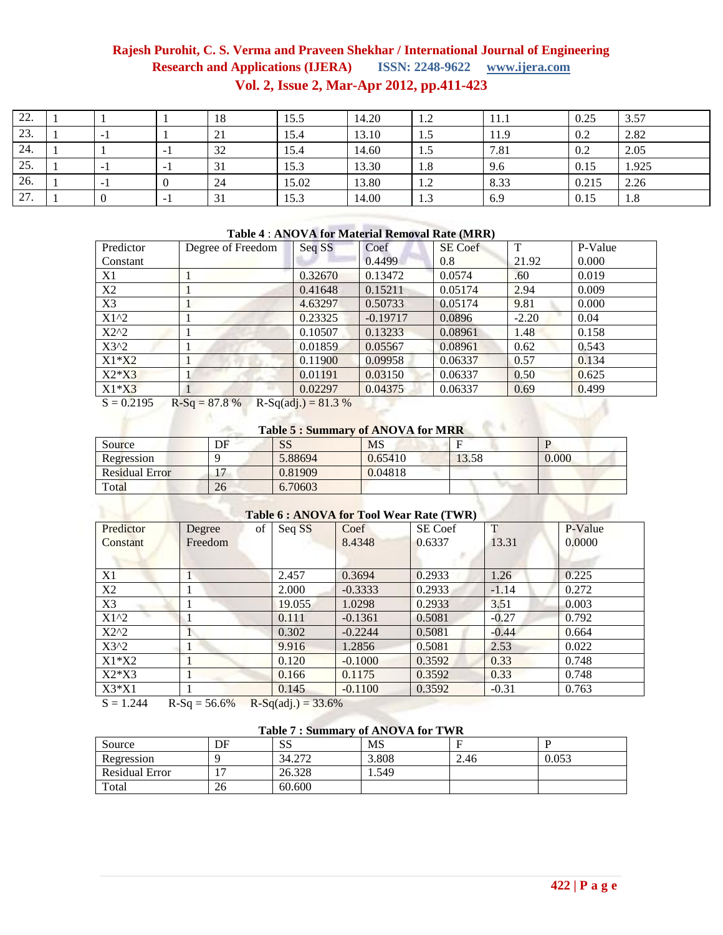| 22. |                          |                          | 18 | 15.5  | 14.20 | 1.2 | 11.1 | 0.25  | 3.57  |
|-----|--------------------------|--------------------------|----|-------|-------|-----|------|-------|-------|
| 23. | $\overline{\phantom{0}}$ |                          | 21 | 15.4  | 13.10 | 1.5 | 11.9 | 0.2   | 2.82  |
| 24. |                          | $\overline{\phantom{a}}$ | 32 | 15.4  | 14.60 | 1.5 | 7.81 | 0.2   | 2.05  |
| 25. | $\overline{\phantom{0}}$ | $-1$                     | 31 | 15.3  | 13.30 | 1.8 | 9.6  | 0.15  | 1.925 |
| 26. | $\sim$                   |                          | 24 | 15.02 | 13.80 | 1.2 | 8.33 | 0.215 | 2.26  |
| 27. |                          | - 1                      | 31 | 15.3  | 14.00 | 1.3 | 6.9  | 0.15  | 1.8   |

#### **Table 4** : **ANOVA for Material Removal Rate (MRR)**

| Predictor                                               | Degree of Freedom | Seq SS  | Coef       | SE Coef | T       | P-Value |  |  |
|---------------------------------------------------------|-------------------|---------|------------|---------|---------|---------|--|--|
| Constant                                                |                   |         | 0.4499     | 0.8     | 21.92   | 0.000   |  |  |
| X1                                                      |                   | 0.32670 | 0.13472    | 0.0574  | .60     | 0.019   |  |  |
| X2                                                      |                   | 0.41648 | 0.15211    | 0.05174 | 2.94    | 0.009   |  |  |
| X3                                                      |                   | 4.63297 | 0.50733    | 0.05174 | 9.81    | 0.000   |  |  |
| $X1^2$                                                  |                   | 0.23325 | $-0.19717$ | 0.0896  | $-2.20$ | 0.04    |  |  |
| $X2^2$                                                  |                   | 0.10507 | 0.13233    | 0.08961 | 1.48    | 0.158   |  |  |
| $X3^2$                                                  |                   | 0.01859 | 0.05567    | 0.08961 | 0.62    | 0.543   |  |  |
| $X1*X2$                                                 |                   | 0.11900 | 0.09958    | 0.06337 | 0.57    | 0.134   |  |  |
| $X2*X3$                                                 |                   | 0.01191 | 0.03150    | 0.06337 | 0.50    | 0.625   |  |  |
| $X1*X3$                                                 |                   | 0.02297 | 0.04375    | 0.06337 | 0.69    | 0.499   |  |  |
| $S = 0.2195$<br>$R-Sq = 87.8%$<br>$R-Sq(adj.) = 81.3 %$ |                   |         |            |         |         |         |  |  |

# **Table 5 : Summary of ANOVA for MRR**

| Source                                      | DF | <b>SS</b> | <b>MS</b> |       |       |  |  |  |
|---------------------------------------------|----|-----------|-----------|-------|-------|--|--|--|
| Regression                                  |    | 5.88694   | 0.65410   | 13.58 | 0.000 |  |  |  |
| <b>Residual Error</b>                       |    | 0.81909   | 0.04818   |       |       |  |  |  |
| Total                                       | 26 | 6.70603   |           |       |       |  |  |  |
| $Table 6.1 NONA from Toold Wcon Data (TWD)$ |    |           |           |       |       |  |  |  |

| Table 6 : ANOVA for Tool Wear Rate (TWR) |                                                                                        |        |           |         |         |         |  |  |  |
|------------------------------------------|----------------------------------------------------------------------------------------|--------|-----------|---------|---------|---------|--|--|--|
| Predictor                                | Degree<br>of                                                                           | Seq SS | Coef      | SE Coef | T       | P-Value |  |  |  |
| Constant                                 | Freedom                                                                                |        | 8.4348    | 0.6337  | 13.31   | 0.0000  |  |  |  |
|                                          |                                                                                        |        |           |         |         |         |  |  |  |
| Χ1                                       | 1                                                                                      | 2.457  | 0.3694    | 0.2933  | 1.26    | 0.225   |  |  |  |
| X2                                       | 1                                                                                      | 2.000  | $-0.3333$ | 0.2933  | $-1.14$ | 0.272   |  |  |  |
| X3                                       |                                                                                        | 19.055 | 1.0298    | 0.2933  | 3.51    | 0.003   |  |  |  |
| $X1^2$                                   |                                                                                        | 0.111  | $-0.1361$ | 0.5081  | $-0.27$ | 0.792   |  |  |  |
| $X2^2$                                   | 1                                                                                      | 0.302  | $-0.2244$ | 0.5081  | $-0.44$ | 0.664   |  |  |  |
| $X3^2$                                   | $\bf{l}$                                                                               | 9.916  | 1.2856    | 0.5081  | 2.53    | 0.022   |  |  |  |
| $X1*X2$                                  |                                                                                        | 0.120  | $-0.1000$ | 0.3592  | 0.33    | 0.748   |  |  |  |
| $X2*X3$                                  |                                                                                        | 0.166  | 0.1175    | 0.3592  | 0.33    | 0.748   |  |  |  |
| $X3*X1$                                  |                                                                                        | 0.145  | $-0.1100$ | 0.3592  | $-0.31$ | 0.763   |  |  |  |
| $C = 1 \n244$                            | $D C_{\alpha}$ $E C C_0$<br>$D_{\alpha}$ $C_{\alpha}$ $($ $\alpha$ $\beta$ $)$<br>22CO |        |           |         |         |         |  |  |  |

 $S = 1.244$  R-Sq = 56.6% R-Sq(adj.) = 33.6%

# **Table 7 : Summary of ANOVA for TWR**

| Source                | DF | <b>SS</b> | <b>MS</b> |      |       |
|-----------------------|----|-----------|-----------|------|-------|
| Regression            |    | 34.272    | 3.808     | 2.46 | 0.053 |
| <b>Residual Error</b> |    | 26.328    | 1.549     |      |       |
| Total                 | 26 | 60.600    |           |      |       |